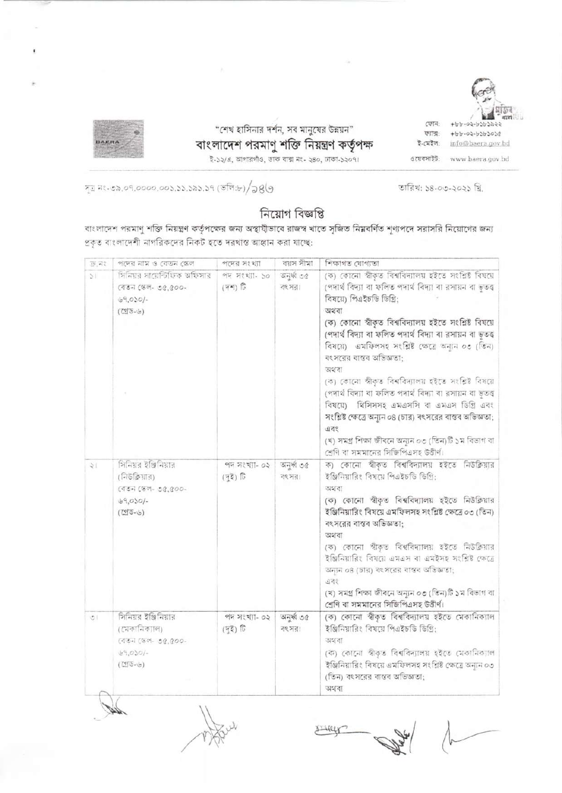

"শেখ হাসিনার দর্শন, সব মানুষের উন্নয়ন" বাংলাদেশ পরমাণু শক্তি নিয়ন্ত্রণ কর্তৃপক্ষ<br>ই-১২/এ, আগারগাঁও, ডাক বাক্স নং- ২৪০, ঢাকা-১২০৭।

ফোন ফাৰ-ই-মেইল:

 $+ b b - 02 - b3 b3030$ info@baera.gov.bd ওয়েবসাইট: www.baera.gov.bd

তারিখ: ১৪-০৩-২০২১ খ্রি.

সূত্র নং-৩৯.০৭.০০০০.০০১.১১.১৯১.১৭ (ভলি:৮)/১৪৬

## নিয়োগ বিজ্ঞপ্তি

বাংলাদেশ পরমাণু শক্তি নিয়ন্ত্রণ কর্তৃপক্ষের জন্য অস্থাযীভাবে রাজস্ব খাতে সৃজিত নিম্নবর্ণিত শূণ্যপদে সরাসরি নিয়োগের জন্য প্রকৃত বাংলাদেশী নাগরিকদের নিকট হতে দরখান্ত আহ্বান করা যাচ্ছে:

| 35, 22   | পদের নাম ও বেতন স্কেল                                                                      | পদের সংখ্যা                            | বয়স সীমা           | শিক্ষাগত যোগ্যতা                                                                                                                                                                                                                                                                                                                                                                                                                                                                                                                                                                                                                                                                                           |
|----------|--------------------------------------------------------------------------------------------|----------------------------------------|---------------------|------------------------------------------------------------------------------------------------------------------------------------------------------------------------------------------------------------------------------------------------------------------------------------------------------------------------------------------------------------------------------------------------------------------------------------------------------------------------------------------------------------------------------------------------------------------------------------------------------------------------------------------------------------------------------------------------------------|
| $\geq$   | সিনিয়র সায়েন্টিফিক অফিসার<br>(বতন স্কেল- ৩৫,৫০০-<br>$69.050/-$<br>$(255 - 6)$            | পদ সংখ্যা- ১০<br>$(T^*)$ $\widehat{U}$ | जनुर्श ७७<br>বংসর।  | (ক) কোনো স্বীকৃত বিশ্ববিদ্যালয় হইতে সংশ্লিষ্ট বিষয়ে<br>(পদার্থ বিদ্যা বা ফলিত পদার্থ বিদ্যা বা রসায়ন বা ভূতত্ত্ব<br>বিষয়ে) পিএইচডি ডিগ্রি;<br>অথবা<br>(ক) কোনো স্বীকৃত বিশ্ববিদ্যালয় হইতে সংশ্লিষ্ট বিষয়ে<br>(পদার্থ বিদ্যা বা ফলিত পদার্থ বিদ্যা বা রসায়ন বা ভূতত্ত<br>বিষয়ে) এমফিলসহ সংশ্লিষ্ট ক্ষেত্রে অন্যন ০৩ (তিন)<br>বংসরের বাস্তব অভিজ্ঞতা:<br>অথবা<br>(ক) কোনো স্বীকৃত বিশ্ববিদ্যালয় হইতে সংশ্লিষ্ট বিষয়ে<br>(পদার্থ বিদ্যা বা ফলিত পদার্থ বিদ্যা বা রসায়ন বা ভূতত্ত<br>বিষয়ে) থিসিসসহ এমএসসি বা এমএস ডিগ্রি এবং<br>সংশ্লিষ্ট ক্ষেত্রে অন্যুন ০৪ (চার) বৎসরের বাস্তব অভিজ্ঞতা;<br>এবং<br>(খ) সমগ্ৰ শিক্ষা জীবনে অন্যন ০৩ (তিন)টি ১ম বিভাগ বা<br>শ্রেণি বা সমমানের সিজিপিএসহ উত্তীর্ণ। |
| श        | সিনিয়র ইঞ্জিনিয়ার<br>(নিউক্লিয়ার)<br>$(157.087 - 03.000 -$<br>$69,000/-$<br>$(255 - 6)$ | পদ সংখ্যা- ০২<br>(দুই) টি              | অনুর্ধা ৩৫<br>বংসর। | ক) কোনো স্বীকৃত বিশ্ববিদ্যালয় হইতে নিউক্লিয়ার<br>ইঞ্জিনিয়ারিং বিষয়ে পিএইচডি ডিগ্রি:<br>অহাবা<br>(ক) কোনো শ্বীকৃত বিশ্ববিদ্যালয় হইতে নিউক্লিয়ার<br>ইঞ্জিনিয়ারিং বিষয়ে এমফিলসহ সংশ্লিষ্ট ক্ষেত্রে ০৩ (তিন)<br>বংসরের বাস্তব অভিজ্ঞতা:<br>অথবা<br>(ক) কোনো স্বীকৃত বিশ্ববিদ্যালয় হইতে নিউক্লিয়ার<br>ইঞ্জিনিয়ারিং বিষয়ে এমএস বা এমইসহ সংশ্রিষ্ট ক্ষেত্রে<br>অন্যন ০৪ (চার) বংসরের বাস্তব অভিজ্ঞতা;<br>এবং<br>(খ) সমগ্ৰ শিক্ষা জীবনে অন্যুন ০৩ (তিন)টি ১ম বিভাগ বা<br>শ্রেণি বা সমমানের সিজিপিএসহ উত্তীর্ণ।                                                                                                                                                                                         |
| $\sigma$ | সিনিয়র ইঞ্জিনিয়ার<br>(মেকানিক্যাল)<br>(বতন জেল- ৩৫,৫০০-<br>49.050/-<br>$(295 - 6)$       | পদ সংখ্যা- ০২<br>(53)                  | जनकी ७०<br>বৎ সর।   | (ক) কোনো স্বীকৃত বিশ্ববিদ্যালয় হইতে মেকানিক্যাল<br>ইঞ্জিনিয়ারিং বিষয়ে পিএইচডি ডিগ্রি:<br>অহবো<br>(ক) কোনো স্বীকৃত বিশ্ববিদ্যালয় হইতে মেকানিক্যাল<br>ইঞ্জিনিয়ারিং বিষয়ে এমফিলসহ সংশ্লিষ্ট ক্ষেত্রে অন্যন ০৩<br>(তিন) বংসরের বাস্তব অভিজ্ঞতা;<br>অথবা                                                                                                                                                                                                                                                                                                                                                                                                                                                  |

SIHELY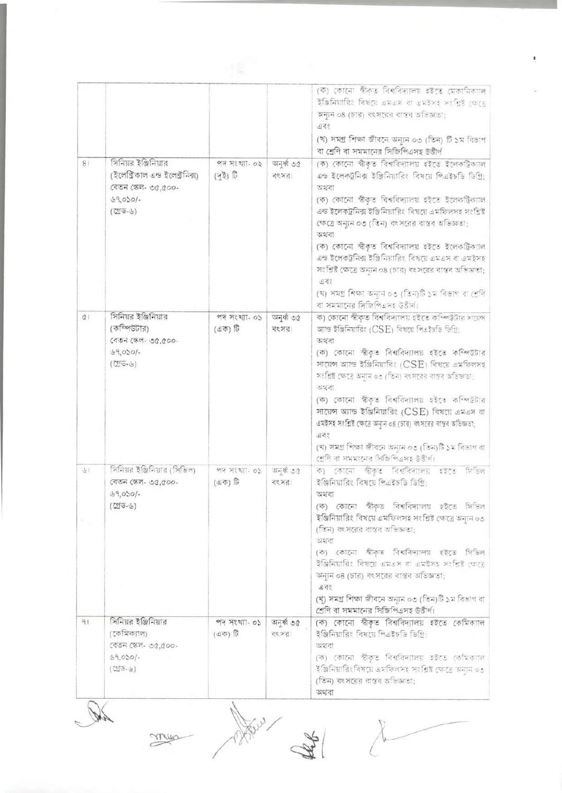|              |                                                                                                         |                          |                      | (ক) কোনো স্বীকৃত বিশ্ববিদ্যালয় হইতে মেকামিকাল<br>ইঞ্জিনিয়ারিং বিষয়ে এমএস বা এমইসহ সংশ্রিষ্ট ক্ষেত্রে<br>অন্যন ০৪ (চার) বৎসরের বাস্তব অভিজ্ঞতা:<br>955<br>(খ) সমগ্ৰ শিক্ষা জীবনে অন্যুন ০৩ (তিন) টি ১ম বিভাগ<br>বা শ্রেণি বা সমমানের সিজিপিএসহ উত্তীর্ণ                                                                                                                                                                                                                                                                                                                            |
|--------------|---------------------------------------------------------------------------------------------------------|--------------------------|----------------------|--------------------------------------------------------------------------------------------------------------------------------------------------------------------------------------------------------------------------------------------------------------------------------------------------------------------------------------------------------------------------------------------------------------------------------------------------------------------------------------------------------------------------------------------------------------------------------------|
| 81           | সিনিয়র ইঞ্জিনিয়ার<br>(ইলেক্টিকাল এন্ড ইলেক্টনিক্স)<br>(বতন স্কেল- ৩৫,৫০০-<br>$69.050/-$<br>$(75 - 6)$ | পদ সংখ্যা- ০২<br>(42)    | जनकी ७৫<br>কংসরা     | (ক) কোনো স্বীকৃত বিশ্ববিদ্যালয় হইতে ইলেকট্রিকালি<br>এন্ড ইলেকট্রনিক্স ইঞ্জিনিয়ারিং বিষয়ে পিএইচডি ডিগ্রি:<br>অথবা<br>(ক) কোনো স্বীকৃত বিশ্ববিদ্যালয় হইতে ইলেকট্রিক্যাল<br>এন্ড ইলেকট্রনিক্স ইঞ্জিনিয়ারিং বিষয়ে এমফিলসহ সংশ্লিষ্ট<br>ক্ষেত্রে অন্যন ০৩ (তিন) বংসরের বাস্তব অভিজতা:<br>অথবা<br>(ক) কোনো স্বীকৃত বিশ্ববিদ্যালয় হইতে ইলেকট্রিক্যাল<br>এন্ড ইলেকট্রনিক্স ইঞ্জিনিয়ারিং বিষয়ে এমএস বা এমইসহ<br>সংশ্লিষ্ট ক্ষেত্রে অন্যন ০৪ (চার) বৎসরের বাস্তব অভিজ্ঞতা:<br>এবং<br>(খ) সমগ্ৰ শিক্ষা অন্যন ০৩ (তিন)টি ১ম বিভাগ বা শ্ৰেণি<br>বা সমমানের সিজিপিএসহ উত্তীর্ণ।           |
| $\alpha$     | সিনিয়র ইঞ্জিনিয়ার<br>(কম্পিউটার)<br>বেতন স্কেল- ৩৫.৫০০-<br>69,0001<br>$(255 - 6)$                     | পদ সংখ্যা- ০১<br>(এক) টি | जनके ७७<br>বংসর।     | ক) কোনো স্বীকৃত বিশ্ববিদ্যালয় হইতে কম্পিউটার সায়েন্স<br>আন্ড ইঞ্জিনিয়ারিং (CSE) বিষয়ে পিএইচডি ডিগ্রি:<br>অথবা<br>(ক) কোনো স্বীকৃত বিশ্ববিদ্যালয় হইতে কম্পিউটার<br>সায়েন্স অ্যান্ড ইঞ্জিনিয়ারিং (CSE) বিষয়ে এমফিলসহ<br>সংশ্লিষ্ট ক্ষেত্রে অন্যান ০৩ (তিন) বৎসবের বাস্তব অভিজ্ঞতা:<br>অহাবা<br>(ক) কোনো স্বীকৃত বিশ্ববিদ্যালয় হইতে কম্পিউটার<br>সায়েন্স অ্যান্ড ইঞ্জিনিয়ারিং (CSE) বিষয়ে এমএস বা<br>এমইসহ সংশ্লিষ্ট ক্ষেত্রে অন্যন ০৪ (চার) বৎসরের বাস্তব অভিজ্ঞতা;<br>এবং<br>(খ) সমগ্ৰ শিক্ষা জীবনে অন্যন ০৩ (তিন)টি ১ম বিভাগ বা<br>শ্ৰেণি ৰা সমমানের সিজিপিএসহ উত্তীৰ্ণ। |
| $\mathbb{E}$ | সিনিয়র ইঞ্জিনিয়ার (সিভিল)<br>বেতন স্কেল- ৩৫,৫০০-<br>$89,000/-$<br>$(\overline{C}(\overline{G}-G))$    | পদ সংখ্যা- ০১<br>(45)    | অনুষ্ঠ ৩৫<br>বং সর   | ক) কোনো স্বীকৃত বিশ্ববিদ্যালয় হইতে<br>সডিল<br>ইঞ্জিনিয়ারিং বিষয়ে পিএইচডি ডিগ্রি:<br>অথবা<br>(ক) কোনো স্বীকৃত বিশ্ববিদ্যালয় হইতে সিডিল<br>ইঞ্জিনিয়ারিং বিষয়ে এমফিলসহ সংশ্লিষ্ট ক্ষেত্রে অন্যন ০৩<br>(তিন) বৎসরের বাস্তব অভিজ্ঞতা:<br>অথবা<br>(ক) কোনো স্বীকৃত বিশ্ববিদ্যালয় হইতে সিভিল<br>ইঞ্জিনিয়ারিং বিষয়ে এমএস বা এমইসহ সংশ্লিষ্ট কেতে<br>অন্যন ০৪ (চার) বৎসরের বাস্তব অভিজ্ঞতা:<br>এবং<br>(খ্) সমগ্ৰ শিক্ষা জীবনে অন্যন ০৩ (তিন)টি ১ম বিভাগ বা<br>শ্রেণি বা সমমানের সিজিপিএসহ উত্তীর্ণ।                                                                                  |
| 91           | সিনিয়র ইঞ্জিনিয়ার<br>(কেমিক্যাল)<br>বেতন স্কেল- ৩৫,৫০০-<br>$49,000/-$<br>$(55 - 6)$                   | পদ সংখ্যা- ০১<br>(এক) টি | অনুর্ধ্ব ৩৫<br>বং সর | (ক) কোনো স্বীকৃত বিশ্ববিদ্যালয় হইতে কেমিক্যাল<br>ইঞ্জিনিয়ারিং বিষয়ে পিএইচডি ডিগ্রি:<br>অথবা<br>(ক) কোনো স্বীকৃত বিশ্ববিদ্যালয় হইতে কেমিক্যাল<br>ইঞ্জিনিয়ারিংবিষয়ে এমফিলসহ সংশ্লিষ্ট ক্ষেত্রে অনুনি ০৩<br>(তিন) বৎসরের বাস্তব অভিজ্ঞতা:<br>অথবা                                                                                                                                                                                                                                                                                                                                 |

Det mise

there is

 $\begin{array}{c} \overline{\lambda} \end{array}$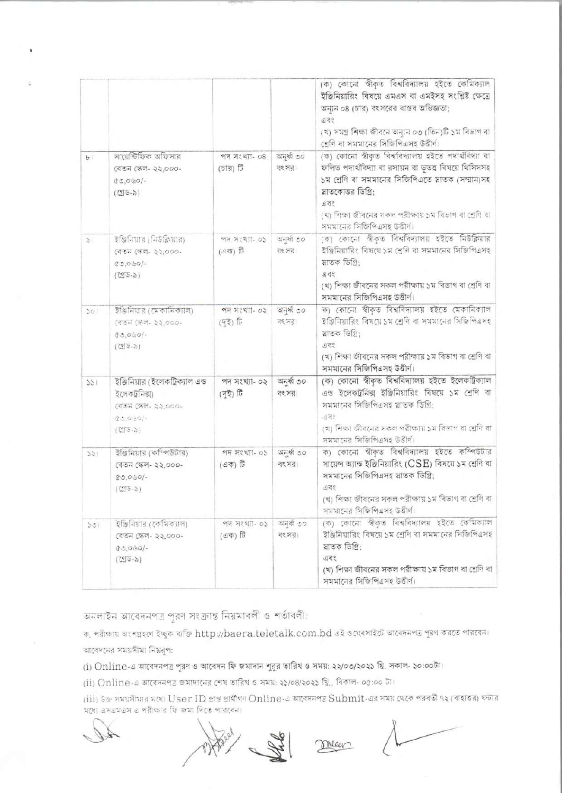|                |                                                                                                                                               |                            |                      | (ক) কোনো স্বীকৃত বিশ্ববিদ্যালয় হইতে কেমিক্যাল<br>ইঞ্জিনিয়ারিং বিষয়ে এমএস বা এমইসহ সংশ্লিষ্ট ক্ষেত্রে<br>অন্যন ০৪ (চার) বংসরের বাস্তব অভিজ্ঞতা;<br>এবং<br>(খ) সমগ্ৰ শিক্ষা জীবনে অন্যুন ০৩ (তিন)টি ১ম বিভাগ বা<br>শ্রেণি বা সমমানের সিজিপিএসহ উত্তীর্ণ।                                |
|----------------|-----------------------------------------------------------------------------------------------------------------------------------------------|----------------------------|----------------------|------------------------------------------------------------------------------------------------------------------------------------------------------------------------------------------------------------------------------------------------------------------------------------------|
| b <sub>1</sub> | সায়েন্টিফিক অফিসার<br>বেতন স্কেল- ২২,০০০-<br>$30,000/-$<br>$(755 - 5)$                                                                       | পদ সংখ্যা- ০৪<br>(চার) টি  | अनुर्फ 00<br>বংসর    | (ক) কোনো স্বীকৃত বিশ্ববিদ্যালয় হইতে পদার্থবিদ্যা বা<br>ফলিত পদার্থবিদ্যা বা রসায়ন বা ভূতত্ত্ব বিষয়ে থিসিসসহ<br>১ম শ্রেণি বা সমমানের সিজিপিএতে স্নাতক (সম্মান)সহ<br>স্নাতকোত্তর ডিগ্রি:<br>এবং<br>(খ) শিক্ষা জীবনের সকল পরীক্ষায় ১ম বিভাগ বা শ্রেণি বা<br>সমমানের সিজিপিএসহ উত্তীর্ণ। |
| $\mathcal{L}$  | ইঞ্জিনিয়ার (নিউক্লিয়ার)<br>বেতন (স্কল- ২২,০০০-<br>$80,0.50/-$<br>$(755-5)$                                                                  | পদ সংখ্যা- ০১<br>(এক) টি   | অনুৰ্ধ্ব ৩০<br>বংসর  | (ক) কোনো স্বীকৃত বিশ্ববিদ্যালয় হইতে নিউক্লিয়ার<br>ইঞ্জিনিয়ারিং বিষয়ে ১ম শ্রেণি বা সমমানের সিজিপিএসহ<br>স্নাতক ডিগ্রি:<br>এবং<br>(খ) শিক্ষা জীবনের সকল পরীক্ষায় ১ম বিভাগ বা শ্রেণি বা<br>সমমানের সিজিপিএসহ উত্তীর্ণ।                                                                 |
| 501            | ইঞ্জিনিয়ার (মেকানিক্যাল)<br>(বতন (স্কল- ২২,০০০-<br>$0.0601 -$<br>$(\mathbb{C}[\mathbb{S}-\delta])$                                           | পদ সংখ্যা- ০২<br>(92)      | অনূৰ্ধ্ব ৩০<br>বংসর  | ক) কোনো স্বীকৃত বিশ্ববিদ্যালয় হইতে মেকানিক্যাল<br>ইঞ্জিনিয়ারিং বিষয়ে ১ম শ্রেণি বা সমমানের সিজিপিএসহ<br>য়াতক ডিগ্ৰি:<br>তবং<br>(খ) শিক্ষা জীবনের সকল পরীক্ষায় ১ম বিভাগ বা শ্রেণি বা<br>সমমানের সিজিপিএসহ উত্তীর্ণ।                                                                   |
| 125            | ইঞ্জিনিয়ার (ইলেকট্রিক্যাল এন্ড<br>ইলেকট্ৰনিক্স)<br>বেতন স্কেল- ২২,০০০-<br>$35.0501 -$<br>$(\overline{C}(\overline{C}\cdot\overline{\cdot}))$ | পদ সংখ্যা- ০২<br>(দুই) টি  | जनकी ७०<br>বং সর     | (ক) কোনো স্বীকৃত বিশ্ববিদ্যালয় হইতে ইলেকট্রিক্যাল<br>এন্ড ইলেকট্রনিক্স ইঞ্জিনিয়ারিং বিষয়ে ১ম শ্রেণি বা<br>সমমানের সিজিপিএসহ য়াতক ডিগ্রি:<br>এবং<br>(খ) শিক্ষা জীবনের সকল পরীক্ষায় ১ম বিভাগ বা শ্রেগি বা<br>সমমানের সিজিপিএসহ উত্তীর্ণ।                                              |
| 152            | ইজিনিয়ার (কম্পিউটার)<br>বেতন স্কেল- ২২,০০০-<br>$80,050/-$<br>$(7575 - 5)$                                                                    | পদ সংখ্যা- ০১<br>$(97)$ টি | जनकी ७०<br>বংসর      | ক) কোনো স্বীকৃত বিশ্ববিদ্যালয় হইতে কম্পিউটার<br>সায়েন্স অ্যান্ড ইঞ্জিনিয়ারিং (CSE) বিষয়ে ১ম শ্রেণি বা<br>সমমানের সিজিপিএসহ স্লাতক ডিগ্রি:<br>950<br>(খ) শিক্ষা জীবনের সকল পরীক্ষায় ১ম বিভাগ বা শ্রেণি বা<br>সমমানের সিজিপিএসহ উত্তীর্ণ।                                             |
| 501            | ইঞ্জিনিয়ার (কেমিক্যাল)<br>বেতন স্কেল- ২২,০০০-<br>$80.060/-$<br>$(\mathbb{C}[\mathbb{G}-\delta])$                                             | পদ সংখ্যা- ০১<br>(এক) টি   | অনুৰ্ধ্ব ৩০<br>বৎসর। | (ক) কোনো স্বীকৃত বিশ্ববিদ্যালয় হইতে কেমিক্যাল<br>ইঞ্জিনিয়ারিং বিষয়ে ১ম শ্রেণি বা সমমানের সিজিপিএসহ<br>স্নাতক ডিগ্রি:<br>এবং<br>(খ) শিক্ষা জীবনের সকল পরীক্ষায় ১ম বিভাগ বা শ্রেণি বা<br>সমমানের সিজিপিএসহ উত্তীর্ণ।                                                                   |

অনলাইন আবেদনপত্র পূরণ সংক্রান্ত নিয়মাবলী ও শর্তাবলী:

ক, পরীক্ষায় অংশগ্রহণে ইচ্ছুক ব্যক্তি http://baera.teletalk.com.bd এই ওয়েবসাইটে আবেদনপত্র পূরণ করতে পারবেন। আবেদনের সময়সীমা নিয়রূপ:

(i) Online-এ আবেদনপত্র পূরণ ও আবেদন ফি জমাদান শুরুর তারিখ ও সময়: ২২/০৩/২০২১ খ্রি. সকাল- ১০:০০টা।

(ii) Online এ আবেদনপত্র জমাদানের শেষ তারিখ ও সময়: ২১/০৪/২০২১ খ্রি., বিকাল- ০৫:০০ টা।

(iii) উক্ত সময়সীমার মধ্যে User ID প্রাপ্ত প্রার্থীগণ Online-এ আবেদনপত্র Submit-এর সময় থেকে পরবর্তী ৭২ (বাহাতর) ঘন্টার মধ্যে এসএমএস এ পরীক্ষার ফি জমা দিতে পারবেন।

meer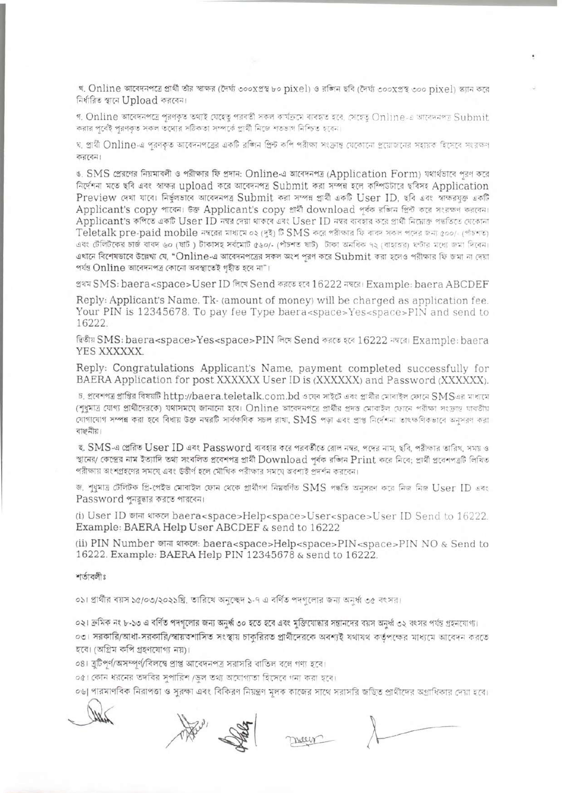খ. Online আবেদনপত্রে প্রার্থী তীর স্বাক্ষর (দৈর্ঘ্য ৩০০xপ্রস্থ ৮০ pixel) ও রঙ্গিন ছবি (দৈর্ঘ্য ৩০০xপ্রস্থ ৩০০ pixel) স্ক্যান করে নিৰ্ধারিত স্থানে Upload করবেন।

গ, Online আবেদনপত্রে পূরণকৃত তথ্যই যেহেতু পরবর্তী সকল কার্যক্রমে ব্যবহৃত হবে, সেহেতু Online-এ আবেদনপত্র Submit করার পূর্বেই পূরণকৃত সকল তথ্যের সঠিকতা সম্পর্কে প্রার্থী নিজে শতভাগ নিশ্চিত হবেন।

ঘ, প্রার্থী Online-এ পূরণকৃত আবেদনপত্রের একটি রজিন প্রিন্ট কপি পরীক্ষা সংক্রান্ত যেকোনো প্রয়োজনের সহায়ক হিসেবে সংরক্ষণ<br>করবেন।

ঙ. SMS প্রেরণের নিয়মাবলী ও পরীক্ষার ফি প্রদান: Online · এআবেদনপত্র (Application Form) যথার্থভাবে পূরণ করে নিৰ্দেশনা মতে ছবি এবং স্বাক্ষর upload করে আবেদনপত্র Submit করা সম্পন্ন হলে কম্পিউটারে ছবিসং Application Preview দেখা যাবে। নিৰ্ভুলভাবে আবেদনপত্ৰ Submit করা সম্পন্ন প্রার্থী একটি User ID, ছবি এবং স্বাক্ষরযুক্ত একটি Applicant's copy পাৰেন। উক্ত Applicant's copy প্ৰাৰ্থী download পূৰ্বক রজিন প্ৰিন্ট করে স্<br>Applicant's কপিতে একটি User ID নম্বৰ দেয়া থাকবে এবং User ID নম্বৰ ব্যবহার করে প্ৰাৰ্থী নিমোক্ত প<br>Teletalk pre-paid mobile নম্বৰে Applicant's কপিতে একটি User ID নম্বর দেয়া থাকৰে এবং User ID নম্বর ব্যবহার করে প্রার্থী নিম্নোক্ত পদ্ধতিতে যেকোনা<br>Teletalk pre-paid mobile নম্বরের মাধ্যমে ০২ (দই) টি SMS করে পরীক্ষার ফি বাবদ সকল পদের জন্য ৫০০/- (পাঁচশত) এবং টেলিটকের চার্জ বাবদ ৬০ (ষাট) টাকাসহ সর্বমোট ৫৬০/- (পাঁচশত ষাট) টাকা অনধিক ৭২ (বাহাতর) ঘণ্টার মধ্যে জমা দিবেন। এখানে বিশেষভাবে উল্লেখ্য যে, "Online-এ আবেদনপত্রের সকল অংশ পরণ করে Submit করা হলেও পরীক্ষার ফি জমা না দেয়া পৰ্যন্ত Online আবেদনপত্ৰ কোনো অবস্থাতেই গৃহীত হবে না"।

প্ৰথম SMS: baera<space>User ID দিখে Send করতে হবে 16222 নহর। Example: baera ABCDEF

Reply: Applicant's Name, Tk- (amount of money) will be charged as application fee. Your PIN is 12345678. To pay fee Type baera<space>Yes<space>PIN and send to 16222.

দ্বিতীয় SMS: baera<space>Yes<space>PIN লিখে Send করতে হবে 16222 নম্বরে। Example: baera YES XXXXXXX.

Reply: Congratulations Applicant's Name, payment completed successfully for

BAERA Application for post XXXXXX User ID is (XXXXXX) and Password (XXXXXX).<br>চ. প্ৰবেশগত্ৰ প্ৰাপ্তিৰ বিষয়টি http://baera.teletalk.com.bd ওষেৰ সাইটে এবং প্ৰাৰ্থীর মোবাইল ফোনে SMSএর মাধ্যম াচ, প্ৰবেশপত্ৰ প্ৰাপ্তির বিষয়টি http://baera.teletalk.com.bd ওয়েব সাইটে এবং প্ৰাৰ্থীর মোবাইল ফোনে SMSএর মাধামে<br>(শুধুমাত্ৰ যোগ্য প্ৰাৰ্থীদেরকে) যথাসময়ে জানানো হবে। Online আবেদনপত্ৰে প্ৰাৰ্থীর প্ৰদত্ত মোবাইল ফোনে পরীক্ষ যোগাযোগ সম্পন্ন করা হবে বিধায় উক্ত নম্বরটি সার্বক্ষণিক সচল রাখা, SMS পড়া এবং প্রাপ্ত নির্দেশনা তাৎক্ষণিকভাবে অনুসরণ করা<br>বাঞ্ছনীয়।

ছ. SMS-এ প্রেরিত User ID এবং Password ব্যবহার করে পরবর্তীতে রোল নম্বর, পদের নাম, ছবি, পরীক্ষার তারিখ, সময় ও স্থানের/ কেন্দ্রের নাম ইত্যাদি তথ্য সংবলিত প্রবেশপত্র প্রার্থী Download পর্বক রজিন Print করে নিবে: প্রার্থী প্রবেশপত্রটি লিখিত পরীক্ষায় অংশগ্রহণের সময়ে এবং উত্তীর্ণ হলে মৌখিক পরীক্ষার সময়ে অবশ্যই প্রদর্শন করবেন।

রীক্ষায় অংশগ্রহণের সমযে এবং উত্তীর্ণ হলে মৌখিক পরীক্ষার সময়ে অবশ্যই প্রদর্শন করবেন।<br>. শুধুমাত্র টেলিটক প্রি-পেইড মোবাইল ফোন থেকে প্রার্থীগণ নিয়বর্ণিত SMS পদ্ধতি অনুসরণ করে নিজ নিজ User ID<br>-----------------------------জ, শুধুমাত্র টেলিটক প্রি-পেইড মোবাইল (<br>Password পুনরুদ্ধার করতে পারবেন।

(i) User ID 'ii wTcei baera<space>Help<space>User<space>User ID Send to 16222. Example: BAERA Help User ABCDEF & send to 16222

(ii) PIN Number जाना शकल: baera<space>Help<space>PIN<space>PIN NO & Send to 16222. Example: BAERA Help PIN 12345678 & send to 16222.

শর্তাবলীঃ

০১। প্রার্থীর বয়স ১৫/০৩/২০২১খ্রি. তারিখে অনুচ্ছেদ ১-৭ এ বর্ণিত পদগুলোর জন্য অনুর্ধ্ব ৩৫ বংসর।

০২। ক্রমিক নং ৮-১৩ এ বর্ণিত পদগুলোর জন্য অনুর্ধ্ব ৩০ হতে হবে এবং মুক্তিযোদ্ধার সন্তানদের বয়স অনুর্ধ্ব ৩২ বংসর পর্যন্ত গ্রহনযোগ্য। ০৩। সরকারি/আধা-সরকারি/স্বায়ত্থশাসিত সংস্থায় চাকুরিরত প্রার্থীদেরকে অবশ্যই যথাযথ কর্তপক্ষের মাধ্যমে আবেদন করতে হবে। (অগ্রিম কপি গ্রহণযোগ্য নয়)।

০৪। ব্রুটিপূর্ণ/অসম্পূর্ণ/বিলম্বে প্রাপ্ত আবেদনপত্র সরাসরি বাতিল বলে গণ্য হবে।

০৫। কোন ধরনের তদবির সুপারিশ /ডল তথ্য অযোগ্যতা হিসেবে গন্য করা হবে।

০৬| পারমাণবিক নিরাপত্তা ও সুরক্ষা এবং বিকিরণ নিয়ন্ত্রণ মূলক কাজের সাথে সরাসরি জড়িত প্রার্থীদের অগ্রাধিকার দেয়া হবে।

mars .